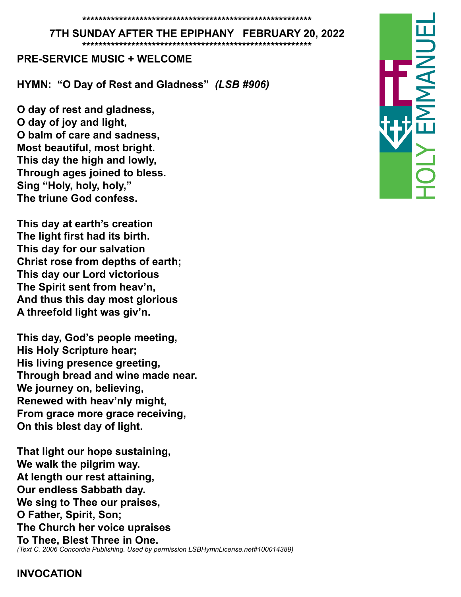#### **7TH SUNDAY AFTER THE EPIPHANY FEBRUARY 20, 2022**

**\*\*\*\*\*\*\*\*\*\*\*\*\*\*\*\*\*\*\*\*\*\*\*\*\*\*\*\*\*\*\*\*\*\*\*\*\*\*\*\*\*\*\*\*\*\*\*\*\*\*\*\*\*\*\*\***

#### **PRE-SERVICE MUSIC + WELCOME**

**HYMN: "O Day of Rest and Gladness"** *(LSB #906)*

**O day of rest and gladness, O day of joy and light, O balm of care and sadness, Most beautiful, most bright. This day the high and lowly, Through ages joined to bless. Sing "Holy, holy, holy," The triune God confess.**

**This day at earth's creation The light first had its birth. This day for our salvation Christ rose from depths of earth; This day our Lord victorious The Spirit sent from heav'n, And thus this day most glorious A threefold light was giv'n.**

**This day, God's people meeting, His Holy Scripture hear; His living presence greeting, Through bread and wine made near. We journey on, believing, Renewed with heav'nly might, From grace more grace receiving, On this blest day of light.**

**That light our hope sustaining, We walk the pilgrim way. At length our rest attaining, Our endless Sabbath day. We sing to Thee our praises, O Father, Spirit, Son; The Church her voice upraises To Thee, Blest Three in One.** *(Text C. 2006 Concordia Publishing. Used by permission LSBHymnLicense.net#100014389)*

#### **INVOCATION**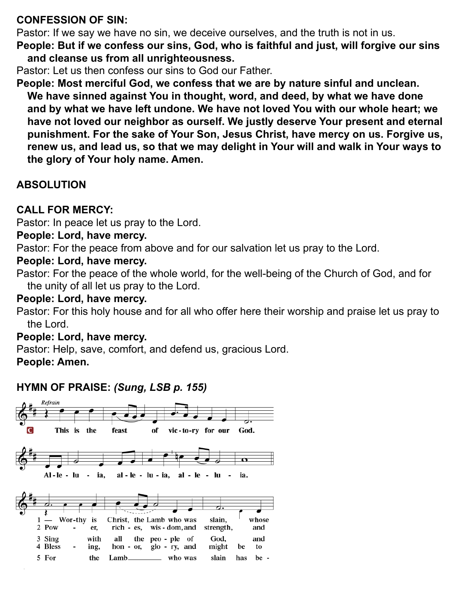## **CONFESSION OF SIN:**

Pastor: If we say we have no sin, we deceive ourselves, and the truth is not in us.

**People: But if we confess our sins, God, who is faithful and just, will forgive our sins and cleanse us from all unrighteousness.**

Pastor: Let us then confess our sins to God our Father.

**People: Most merciful God, we confess that we are by nature sinful and unclean. We have sinned against You in thought, word, and deed, by what we have done and by what we have left undone. We have not loved You with our whole heart; we have not loved our neighbor as ourself. We justly deserve Your present and eternal punishment. For the sake of Your Son, Jesus Christ, have mercy on us. Forgive us, renew us, and lead us, so that we may delight in Your will and walk in Your ways to the glory of Your holy name. Amen.** 

# **ABSOLUTION**

# **CALL FOR MERCY:**

Pastor: In peace let us pray to the Lord.

## **People: Lord, have mercy.**

Pastor: For the peace from above and for our salvation let us pray to the Lord.

## **People: Lord, have mercy.**

Pastor: For the peace of the whole world, for the well-being of the Church of God, and for the unity of all let us pray to the Lord.

## **People: Lord, have mercy.**

Pastor: For this holy house and for all who offer here their worship and praise let us pray to the Lord.

# **People: Lord, have mercy.**

Pastor: Help, save, comfort, and defend us, gracious Lord.

**People: Amen.** 

# **HYMN OF PRAISE:** *(Sung, LSB p. 155)*

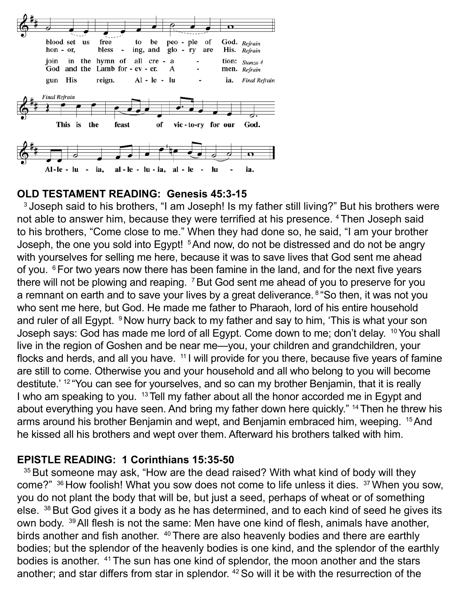

### **OLD TESTAMENT READING: Genesis 45:3-15**

<sup>3</sup> Joseph said to his brothers, "I am Joseph! Is my father still living?" But his brothers were not able to answer him, because they were terrified at his presence. 4 Then Joseph said to his brothers, "Come close to me." When they had done so, he said, "I am your brother Joseph, the one you sold into Egypt! <sup>5</sup> And now, do not be distressed and do not be angry with yourselves for selling me here, because it was to save lives that God sent me ahead of you. <sup>6</sup> For two years now there has been famine in the land, and for the next five years there will not be plowing and reaping. <sup>7</sup> But God sent me ahead of you to preserve for you a remnant on earth and to save your lives by a great deliverance. <sup>8</sup> "So then, it was not you who sent me here, but God. He made me father to Pharaoh, lord of his entire household and ruler of all Egypt. <sup>9</sup> Now hurry back to my father and say to him, 'This is what your son Joseph says: God has made me lord of all Egypt. Come down to me; don't delay. <sup>10</sup> You shall live in the region of Goshen and be near me—you, your children and grandchildren, your flocks and herds, and all you have.  $11$  will provide for you there, because five years of famine are still to come. Otherwise you and your household and all who belong to you will become destitute.' <sup>12</sup> "You can see for yourselves, and so can my brother Benjamin, that it is really I who am speaking to you. <sup>13</sup> Tell my father about all the honor accorded me in Egypt and about everything you have seen. And bring my father down here quickly." <sup>14</sup> Then he threw his arms around his brother Benjamin and wept, and Benjamin embraced him, weeping. 15 And he kissed all his brothers and wept over them. Afterward his brothers talked with him.

#### **EPISTLE READING: 1 Corinthians 15:35-50**

<sup>35</sup> But someone may ask, "How are the dead raised? With what kind of body will they come?" <sup>36</sup> How foolish! What you sow does not come to life unless it dies. <sup>37</sup> When you sow, you do not plant the body that will be, but just a seed, perhaps of wheat or of something else. <sup>38</sup> But God gives it a body as he has determined, and to each kind of seed he gives its own body. 39 All flesh is not the same: Men have one kind of flesh, animals have another, birds another and fish another. <sup>40</sup> There are also heavenly bodies and there are earthly bodies; but the splendor of the heavenly bodies is one kind, and the splendor of the earthly bodies is another. 41 The sun has one kind of splendor, the moon another and the stars another; and star differs from star in splendor. 42 So will it be with the resurrection of the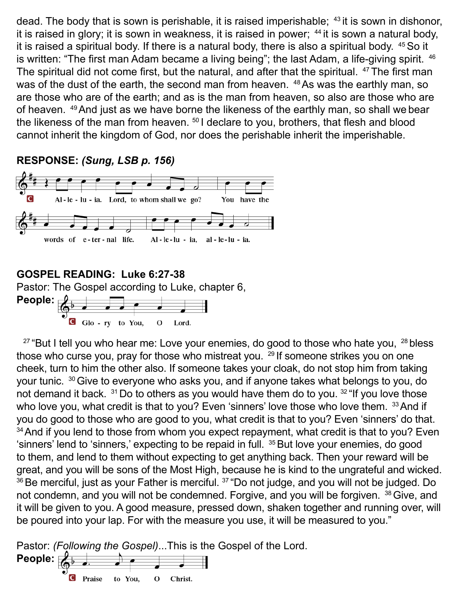dead. The body that is sown is perishable, it is raised imperishable;  $43$  it is sown in dishonor, it is raised in glory; it is sown in weakness, it is raised in power;  $44$  it is sown a natural body, it is raised a spiritual body. If there is a natural body, there is also a spiritual body. 45 So it is written: "The first man Adam became a living being"; the last Adam, a life-giving spirit. <sup>46</sup> The spiritual did not come first, but the natural, and after that the spiritual. <sup>47</sup>The first man was of the dust of the earth, the second man from heaven. <sup>48</sup> As was the earthly man, so are those who are of the earth; and as is the man from heaven, so also are those who are of heaven. 49 And just as we have borne the likeness of the earthly man, so shall we bear the likeness of the man from heaven. <sup>50</sup> I declare to you, brothers, that flesh and blood cannot inherit the kingdom of God, nor does the perishable inherit the imperishable.

### **RESPONSE:** *(Sung, LSB p. 156)*



# **GOSPEL READING: Luke 6:27-38**

Pastor: The Gospel according to Luke, chapter 6,



 $27$  "But I tell you who hear me: Love your enemies, do good to those who hate you,  $28$  bless those who curse you, pray for those who mistreat you. <sup>29</sup> If someone strikes you on one cheek, turn to him the other also. If someone takes your cloak, do not stop him from taking your tunic. 30 Give to everyone who asks you, and if anyone takes what belongs to you, do not demand it back.  $31$  Do to others as you would have them do to you.  $32$  "If you love those who love you, what credit is that to you? Even 'sinners' love those who love them. 33 And if you do good to those who are good to you, what credit is that to you? Even 'sinners' do that. <sup>34</sup> And if you lend to those from whom you expect repayment, what credit is that to you? Even 'sinners' lend to 'sinners,' expecting to be repaid in full. <sup>35</sup> But love your enemies, do good to them, and lend to them without expecting to get anything back. Then your reward will be great, and you will be sons of the Most High, because he is kind to the ungrateful and wicked.  $36$  Be merciful, just as your Father is merciful.  $37$  "Do not judge, and you will not be judged. Do not condemn, and you will not be condemned. Forgive, and you will be forgiven. <sup>38</sup> Give, and it will be given to you. A good measure, pressed down, shaken together and running over, will be poured into your lap. For with the measure you use, it will be measured to you."

Pastor: *(Following the Gospel)*...This is the Gospel of the Lord. **People:**  $|{\bf C}|$ Praise to You, O Christ.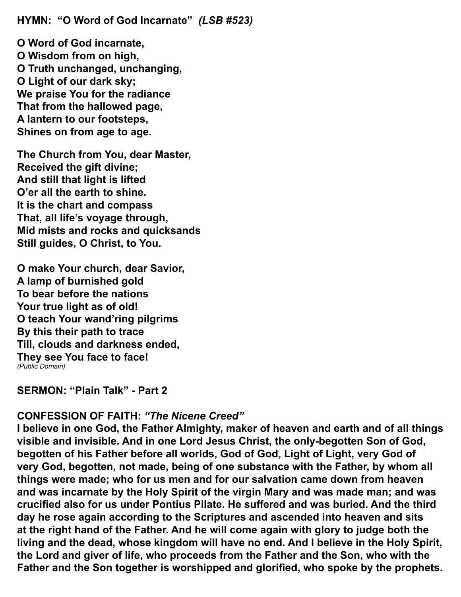**HYMN: "O Word of God Incarnate"** *(LSB #523)*

**O Word of God incarnate, O Wisdom from on high, O Truth unchanged, unchanging, O Light of our dark sky; We praise You for the radiance That from the hallowed page, A lantern to our footsteps, Shines on from age to age.**

**The Church from You, dear Master, Received the gift divine; And still that light is lifted O'er all the earth to shine. It is the chart and compass That, all life's voyage through, Mid mists and rocks and quicksands Still guides, O Christ, to You.**

**O make Your church, dear Savior, A lamp of burnished gold To bear before the nations Your true light as of old! O teach Your wand'ring pilgrims By this their path to trace Till, clouds and darkness ended, They see You face to face!** *(Public Domain)*

**SERMON: "Plain Talk" - Part 2**

### **CONFESSION OF FAITH:** *"The Nicene Creed"*

**I believe in one God, the Father Almighty, maker of heaven and earth and of all things visible and invisible. And in one Lord Jesus Christ, the only-begotten Son of God, begotten of his Father before all worlds, God of God, Light of Light, very God of very God, begotten, not made, being of one substance with the Father, by whom all things were made; who for us men and for our salvation came down from heaven and was incarnate by the Holy Spirit of the virgin Mary and was made man; and was crucified also for us under Pontius Pilate. He suffered and was buried. And the third day he rose again according to the Scriptures and ascended into heaven and sits at the right hand of the Father. And he will come again with glory to judge both the living and the dead, whose kingdom will have no end. And I believe in the Holy Spirit, the Lord and giver of life, who proceeds from the Father and the Son, who with the Father and the Son together is worshipped and glorified, who spoke by the prophets.**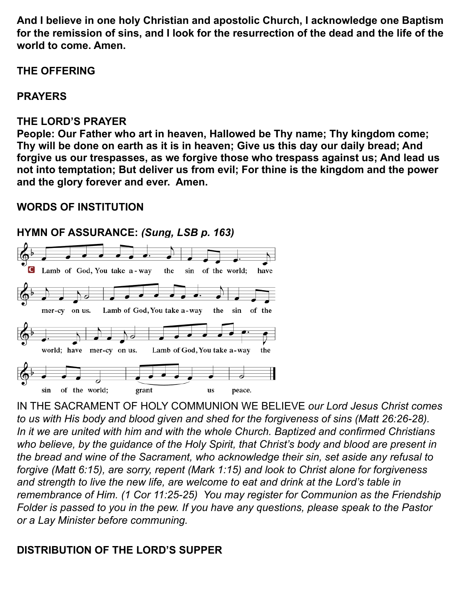**And I believe in one holy Christian and apostolic Church, I acknowledge one Baptism for the remission of sins, and I look for the resurrection of the dead and the life of the world to come. Amen.** 

## **THE OFFERING**

# **PRAYERS**

## **THE LORD'S PRAYER**

**People: Our Father who art in heaven, Hallowed be Thy name; Thy kingdom come; Thy will be done on earth as it is in heaven; Give us this day our daily bread; And forgive us our trespasses, as we forgive those who trespass against us; And lead us not into temptation; But deliver us from evil; For thine is the kingdom and the power and the glory forever and ever. Amen.** 

# **WORDS OF INSTITUTION**

# **HYMN OF ASSURANCE:** *(Sung, LSB p. 163)*



IN THE SACRAMENT OF HOLY COMMUNION WE BELIEVE *our Lord Jesus Christ comes to us with His body and blood given and shed for the forgiveness of sins (Matt 26:26-28). In it we are united with him and with the whole Church. Baptized and confirmed Christians who believe, by the guidance of the Holy Spirit, that Christ's body and blood are present in the bread and wine of the Sacrament, who acknowledge their sin, set aside any refusal to forgive (Matt 6:15), are sorry, repent (Mark 1:15) and look to Christ alone for forgiveness and strength to live the new life, are welcome to eat and drink at the Lord's table in remembrance of Him. (1 Cor 11:25-25) You may register for Communion as the Friendship Folder is passed to you in the pew. If you have any questions, please speak to the Pastor or a Lay Minister before communing.*

# **DISTRIBUTION OF THE LORD'S SUPPER**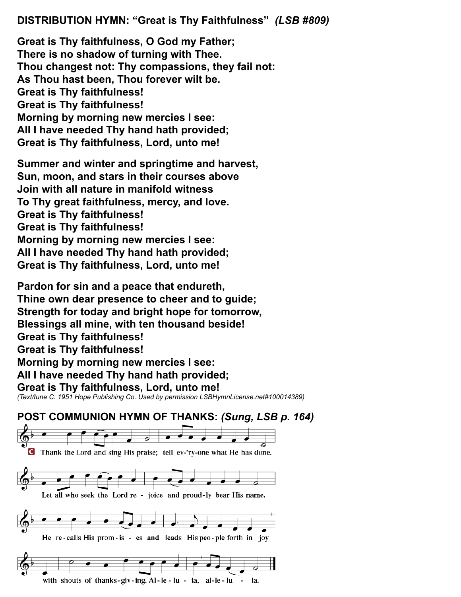### **DISTRIBUTION HYMN: "Great is Thy Faithfulness"** *(LSB #809)*

**Great is Thy faithfulness, O God my Father; There is no shadow of turning with Thee. Thou changest not: Thy compassions, they fail not: As Thou hast been, Thou forever wilt be. Great is Thy faithfulness! Great is Thy faithfulness! Morning by morning new mercies I see: All I have needed Thy hand hath provided; Great is Thy faithfulness, Lord, unto me!**

**Summer and winter and springtime and harvest, Sun, moon, and stars in their courses above Join with all nature in manifold witness To Thy great faithfulness, mercy, and love. Great is Thy faithfulness! Great is Thy faithfulness! Morning by morning new mercies I see: All I have needed Thy hand hath provided; Great is Thy faithfulness, Lord, unto me!**

**Pardon for sin and a peace that endureth, Thine own dear presence to cheer and to guide; Strength for today and bright hope for tomorrow, Blessings all mine, with ten thousand beside! Great is Thy faithfulness! Great is Thy faithfulness! Morning by morning new mercies I see: All I have needed Thy hand hath provided; Great is Thy faithfulness, Lord, unto me!** *(Text/tune C. 1951 Hope Publishing Co. Used by permission LSBHymnLicense.net#100014389)*